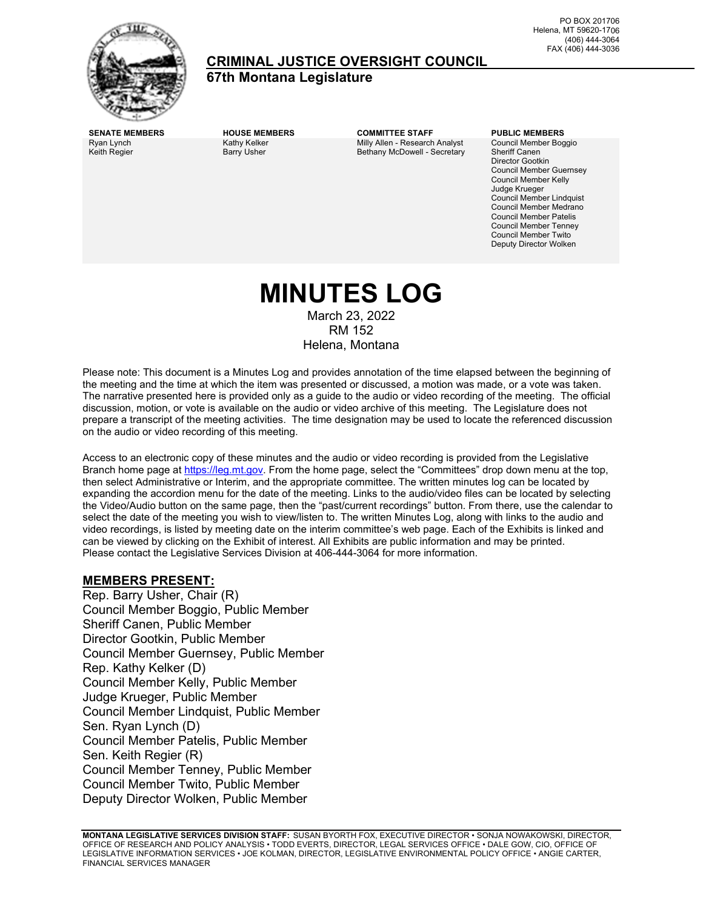

### **CRIMINAL JUSTICE OVERSIGHT COUNCIL**

**67th Montana Legislature**

Ryan Lynch Keith Regier

Kathy Kelker Barry Usher

**SENATE MEMBERS HOUSE MEMBERS COMMITTEE STAFF PUBLIC MEMBERS** Milly Allen - Research Analyst Bethany McDowell - Secretary

Council Member Boggio Sheriff Canen Director Gootkin Council Member Guernsey Council Member Kelly Judge Krueger Council Member Lindquist Council Member Medrano Council Member Patelis Council Member Tenney Council Member Twito Deputy Director Wolken

# **MINUTES LOG**

March 23, 2022 RM 152 Helena, Montana

Please note: This document is a Minutes Log and provides annotation of the time elapsed between the beginning of the meeting and the time at which the item was presented or discussed, a motion was made, or a vote was taken. The narrative presented here is provided only as a guide to the audio or video recording of the meeting. The official discussion, motion, or vote is available on the audio or video archive of this meeting. The Legislature does not prepare a transcript of the meeting activities. The time designation may be used to locate the referenced discussion on the audio or video recording of this meeting.

Access to an electronic copy of these minutes and the audio or video recording is provided from the Legislative Branch home page a[t https://leg.mt.gov.](http://legmt.gov/) From the home page, select the "Committees" drop down menu at the top, then select Administrative or Interim, and the appropriate committee. The written minutes log can be located by expanding the accordion menu for the date of the meeting. Links to the audio/video files can be located by selecting the Video/Audio button on the same page, then the "past/current recordings" button. From there, use the calendar to select the date of the meeting you wish to view/listen to. The written Minutes Log, along with links to the audio and video recordings, is listed by meeting date on the interim committee's web page. Each of the Exhibits is linked and can be viewed by clicking on the Exhibit of interest. All Exhibits are public information and may be printed. Please contact the Legislative Services Division at 406-444-3064 for more information.

### **MEMBERS PRESENT:**

Rep. Barry Usher, Chair (R) Council Member Boggio, Public Member Sheriff Canen, Public Member Director Gootkin, Public Member Council Member Guernsey, Public Member Rep. Kathy Kelker (D) Council Member Kelly, Public Member Judge Krueger, Public Member Council Member Lindquist, Public Member Sen. Ryan Lynch (D) Council Member Patelis, Public Member Sen. Keith Regier (R) Council Member Tenney, Public Member Council Member Twito, Public Member Deputy Director Wolken, Public Member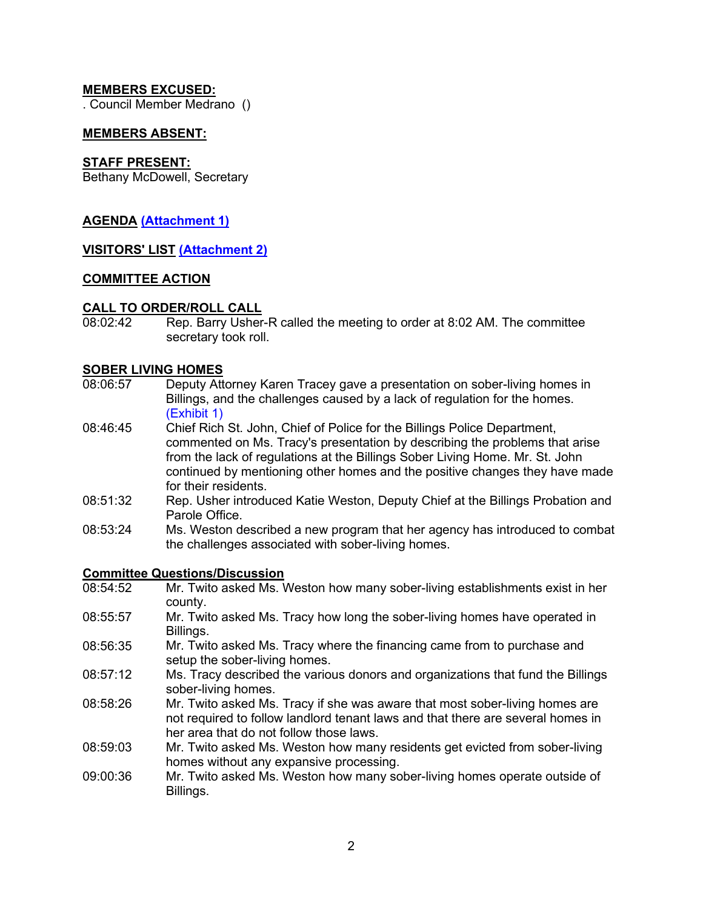### **MEMBERS EXCUSED:**

. Council Member Medrano ()

### **MEMBERS ABSENT:**

### **STAFF PRESENT:**

Bethany McDowell, Secretary

### **AGENDA [\(Attachment 1\)](https://leg.mt.gov/content/Committees/Interim/2021-2022/Criminal-Justice-Oversight-Council/Meetings/March_2022/UPDATED-cjoc-agenda-mar-23-2022.pdf)**

### **VISITORS' LIST [\(Attachment 2\)](https://leg.mt.gov/content/Committees/Interim/2021-2022/Criminal-Justice-Oversight-Council/Meetings/March_2022/cjoc-mar-23-2022-visitor-log.pdf)**

#### **COMMITTEE ACTION**

#### **CALL TO ORDER/ROLL CALL**

08:02:42 Rep. Barry Usher-R called the meeting to order at 8:02 AM. The committee secretary took roll.

#### **SOBER LIVING HOMES**

- 08:06:57 Deputy Attorney Karen Tracey gave a presentation on sober-living homes in Billings, and the challenges caused by a lack of regulation for the homes. [\(Exhibit 1\)](https://leg.mt.gov/content/Committees/Interim/2021-2022/Criminal-Justice-Oversight-Council/Meetings/March_2022/cjoc-mar-23-2022-karen-tracy-slides.docx.pdf)
- 08:46:45 Chief Rich St. John, Chief of Police for the Billings Police Department, commented on Ms. Tracy's presentation by describing the problems that arise from the lack of regulations at the Billings Sober Living Home. Mr. St. John continued by mentioning other homes and the positive changes they have made for their residents.
- 08:51:32 Rep. Usher introduced Katie Weston, Deputy Chief at the Billings Probation and Parole Office.
- 08:53:24 Ms. Weston described a new program that her agency has introduced to combat the challenges associated with sober-living homes.

## **Committee Questions/Discussion**<br>08:54:52 Mr. Twito asked Ms. V

- Mr. Twito asked Ms. Weston how many sober-living establishments exist in her county.
- 08:55:57 Mr. Twito asked Ms. Tracy how long the sober-living homes have operated in Billings.
- 08:56:35 Mr. Twito asked Ms. Tracy where the financing came from to purchase and setup the sober-living homes.
- 08:57:12 Ms. Tracy described the various donors and organizations that fund the Billings sober-living homes.
- 08:58:26 Mr. Twito asked Ms. Tracy if she was aware that most sober-living homes are not required to follow landlord tenant laws and that there are several homes in her area that do not follow those laws.
- 08:59:03 Mr. Twito asked Ms. Weston how many residents get evicted from sober-living homes without any expansive processing.
- 09:00:36 Mr. Twito asked Ms. Weston how many sober-living homes operate outside of Billings.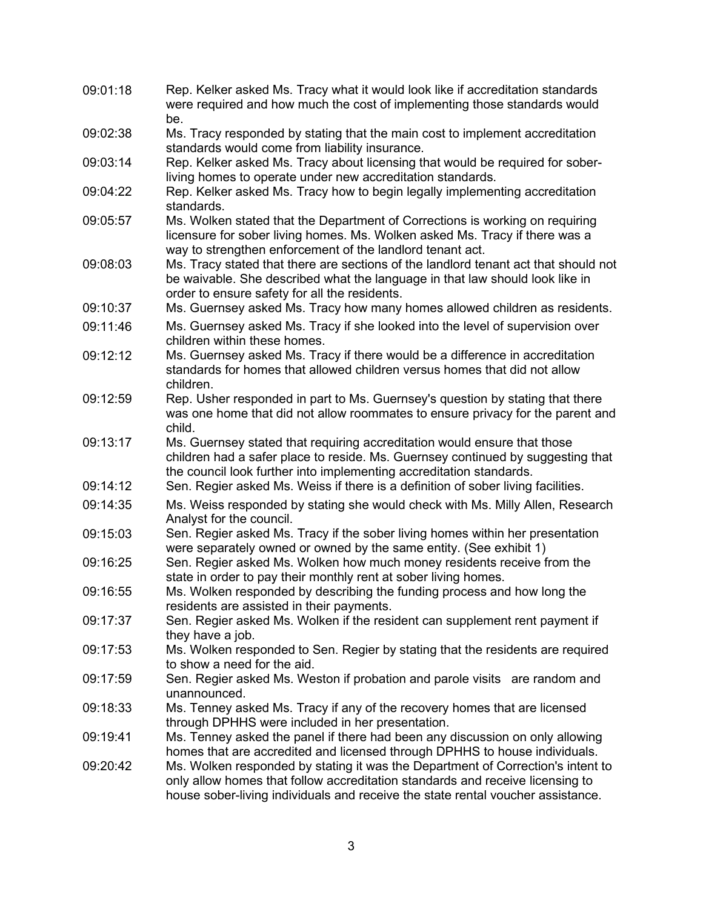| 09:01:18 | Rep. Kelker asked Ms. Tracy what it would look like if accreditation standards<br>were required and how much the cost of implementing those standards would<br>be.                                                                                  |
|----------|-----------------------------------------------------------------------------------------------------------------------------------------------------------------------------------------------------------------------------------------------------|
| 09:02:38 | Ms. Tracy responded by stating that the main cost to implement accreditation<br>standards would come from liability insurance.                                                                                                                      |
| 09:03:14 | Rep. Kelker asked Ms. Tracy about licensing that would be required for sober-<br>living homes to operate under new accreditation standards.                                                                                                         |
| 09:04:22 | Rep. Kelker asked Ms. Tracy how to begin legally implementing accreditation<br>standards.                                                                                                                                                           |
| 09:05:57 | Ms. Wolken stated that the Department of Corrections is working on requiring<br>licensure for sober living homes. Ms. Wolken asked Ms. Tracy if there was a<br>way to strengthen enforcement of the landlord tenant act.                            |
| 09:08:03 | Ms. Tracy stated that there are sections of the landlord tenant act that should not<br>be waivable. She described what the language in that law should look like in<br>order to ensure safety for all the residents.                                |
| 09:10:37 | Ms. Guernsey asked Ms. Tracy how many homes allowed children as residents.                                                                                                                                                                          |
| 09:11:46 | Ms. Guernsey asked Ms. Tracy if she looked into the level of supervision over<br>children within these homes.                                                                                                                                       |
| 09:12:12 | Ms. Guernsey asked Ms. Tracy if there would be a difference in accreditation<br>standards for homes that allowed children versus homes that did not allow<br>children.                                                                              |
| 09:12:59 | Rep. Usher responded in part to Ms. Guernsey's question by stating that there<br>was one home that did not allow roommates to ensure privacy for the parent and<br>child.                                                                           |
| 09:13:17 | Ms. Guernsey stated that requiring accreditation would ensure that those<br>children had a safer place to reside. Ms. Guernsey continued by suggesting that<br>the council look further into implementing accreditation standards.                  |
| 09:14:12 | Sen. Regier asked Ms. Weiss if there is a definition of sober living facilities.                                                                                                                                                                    |
| 09:14:35 | Ms. Weiss responded by stating she would check with Ms. Milly Allen, Research<br>Analyst for the council.                                                                                                                                           |
| 09:15:03 | Sen. Regier asked Ms. Tracy if the sober living homes within her presentation<br>were separately owned or owned by the same entity. (See exhibit 1)                                                                                                 |
| 09:16:25 | Sen. Regier asked Ms. Wolken how much money residents receive from the<br>state in order to pay their monthly rent at sober living homes.                                                                                                           |
| 09:16:55 | Ms. Wolken responded by describing the funding process and how long the<br>residents are assisted in their payments.                                                                                                                                |
| 09:17:37 | Sen. Regier asked Ms. Wolken if the resident can supplement rent payment if<br>they have a job.                                                                                                                                                     |
| 09:17:53 | Ms. Wolken responded to Sen. Regier by stating that the residents are required<br>to show a need for the aid.                                                                                                                                       |
| 09:17:59 | Sen. Regier asked Ms. Weston if probation and parole visits are random and<br>unannounced.                                                                                                                                                          |
| 09:18:33 | Ms. Tenney asked Ms. Tracy if any of the recovery homes that are licensed<br>through DPHHS were included in her presentation.                                                                                                                       |
| 09:19:41 | Ms. Tenney asked the panel if there had been any discussion on only allowing<br>homes that are accredited and licensed through DPHHS to house individuals.                                                                                          |
| 09:20:42 | Ms. Wolken responded by stating it was the Department of Correction's intent to<br>only allow homes that follow accreditation standards and receive licensing to<br>house sober-living individuals and receive the state rental voucher assistance. |

3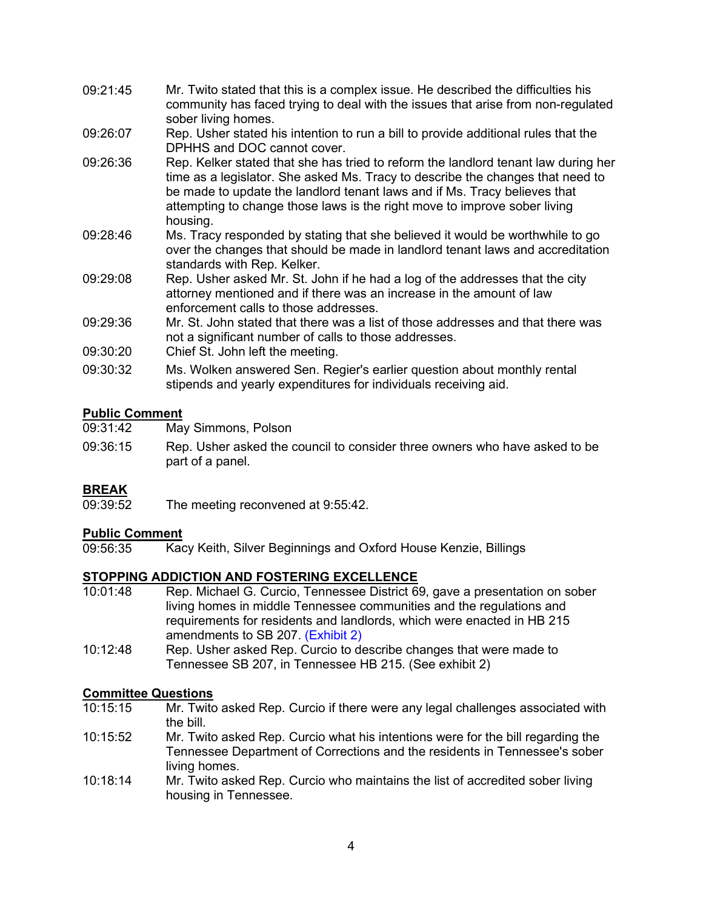- 09:21:45 Mr. Twito stated that this is a complex issue. He described the difficulties his community has faced trying to deal with the issues that arise from non-regulated sober living homes.
- 09:26:07 Rep. Usher stated his intention to run a bill to provide additional rules that the DPHHS and DOC cannot cover.
- 09:26:36 Rep. Kelker stated that she has tried to reform the landlord tenant law during her time as a legislator. She asked Ms. Tracy to describe the changes that need to be made to update the landlord tenant laws and if Ms. Tracy believes that attempting to change those laws is the right move to improve sober living housing.
- 09:28:46 Ms. Tracy responded by stating that she believed it would be worthwhile to go over the changes that should be made in landlord tenant laws and accreditation standards with Rep. Kelker.
- 09:29:08 Rep. Usher asked Mr. St. John if he had a log of the addresses that the city attorney mentioned and if there was an increase in the amount of law enforcement calls to those addresses.
- 09:29:36 Mr. St. John stated that there was a list of those addresses and that there was not a significant number of calls to those addresses.
- 09:30:20 Chief St. John left the meeting.
- 09:30:32 Ms. Wolken answered Sen. Regier's earlier question about monthly rental stipends and yearly expenditures for individuals receiving aid.

### **Public Comment**

| 09:31:42 | May Simmons, Polson                                                                            |
|----------|------------------------------------------------------------------------------------------------|
| 09:36:15 | Rep. Usher asked the council to consider three owners who have asked to be<br>part of a panel. |

**BREAK**<br>09:39:52 The meeting reconvened at 9:55:42.

# Public Comment<br>09:56:35 Kao

Kacy Keith, Silver Beginnings and Oxford House Kenzie, Billings

### **STOPPING ADDICTION AND FOSTERING EXCELLENCE**

- 10:01:48 Rep. Michael G. Curcio, Tennessee District 69, gave a presentation on sober living homes in middle Tennessee communities and the regulations and requirements for residents and landlords, which were enacted in HB 215 amendments to SB 207. [\(Exhibit 2\)](https://leg.mt.gov/content/Committees/Interim/2021-2022/Criminal-Justice-Oversight-Council/Meetings/March_2022/hb-215-binder.pdf)
- 10:12:48 Rep. Usher asked Rep. Curcio to describe changes that were made to Tennessee SB 207, in Tennessee HB 215. (See exhibit 2)

# **Committee Questions**

- Mr. Twito asked Rep. Curcio if there were any legal challenges associated with the bill.
- 10:15:52 Mr. Twito asked Rep. Curcio what his intentions were for the bill regarding the Tennessee Department of Corrections and the residents in Tennessee's sober living homes.
- 10:18:14 Mr. Twito asked Rep. Curcio who maintains the list of accredited sober living housing in Tennessee.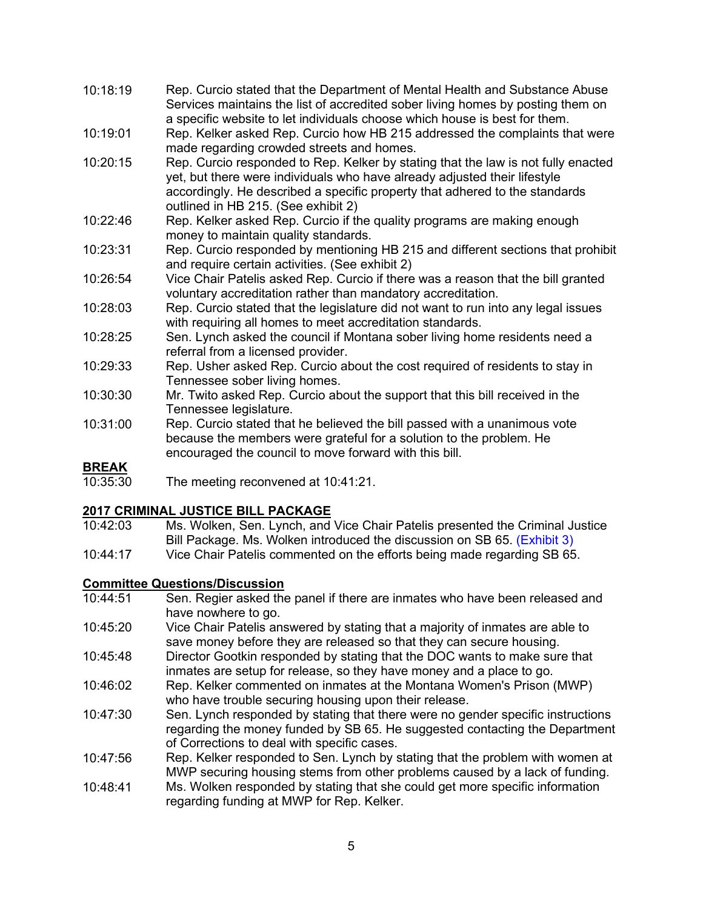- 10:18:19 Rep. Curcio stated that the Department of Mental Health and Substance Abuse Services maintains the list of accredited sober living homes by posting them on a specific website to let individuals choose which house is best for them.
- 10:19:01 Rep. Kelker asked Rep. Curcio how HB 215 addressed the complaints that were made regarding crowded streets and homes.
- 10:20:15 Rep. Curcio responded to Rep. Kelker by stating that the law is not fully enacted yet, but there were individuals who have already adjusted their lifestyle accordingly. He described a specific property that adhered to the standards outlined in HB 215. (See exhibit 2)
- 10:22:46 Rep. Kelker asked Rep. Curcio if the quality programs are making enough money to maintain quality standards.
- 10:23:31 Rep. Curcio responded by mentioning HB 215 and different sections that prohibit and require certain activities. (See exhibit 2)
- 10:26:54 Vice Chair Patelis asked Rep. Curcio if there was a reason that the bill granted voluntary accreditation rather than mandatory accreditation.
- 10:28:03 Rep. Curcio stated that the legislature did not want to run into any legal issues with requiring all homes to meet accreditation standards.
- 10:28:25 Sen. Lynch asked the council if Montana sober living home residents need a referral from a licensed provider.
- 10:29:33 Rep. Usher asked Rep. Curcio about the cost required of residents to stay in Tennessee sober living homes.
- 10:30:30 Mr. Twito asked Rep. Curcio about the support that this bill received in the Tennessee legislature.
- 10:31:00 Rep. Curcio stated that he believed the bill passed with a unanimous vote because the members were grateful for a solution to the problem. He encouraged the council to move forward with this bill.

## **BREAK**<br>10:35:30

The meeting reconvened at 10:41:21.

### **2017 CRIMINAL JUSTICE BILL PACKAGE**

- 10:42:03 Ms. Wolken, Sen. Lynch, and Vice Chair Patelis presented the Criminal Justice Bill Package. Ms. Wolken introduced the discussion on SB 65. [\(Exhibit 3\)](https://leg.mt.gov/content/Committees/Interim/2021-2022/Criminal-Justice-Oversight-Council/Meetings/March_2022/cos-bill-list-2017-session.pdf)
- 10:44:17 Vice Chair Patelis commented on the efforts being made regarding SB 65.

### **Committee Questions/Discussion**<br>10:44:51 **Sen, Regier asked the**

- Sen. Regier asked the panel if there are inmates who have been released and have nowhere to go.
- 10:45:20 Vice Chair Patelis answered by stating that a majority of inmates are able to save money before they are released so that they can secure housing.
- 10:45:48 Director Gootkin responded by stating that the DOC wants to make sure that inmates are setup for release, so they have money and a place to go.
- 10:46:02 Rep. Kelker commented on inmates at the Montana Women's Prison (MWP) who have trouble securing housing upon their release.
- 10:47:30 Sen. Lynch responded by stating that there were no gender specific instructions regarding the money funded by SB 65. He suggested contacting the Department of Corrections to deal with specific cases.
- 10:47:56 Rep. Kelker responded to Sen. Lynch by stating that the problem with women at MWP securing housing stems from other problems caused by a lack of funding.
- 10:48:41 Ms. Wolken responded by stating that she could get more specific information regarding funding at MWP for Rep. Kelker.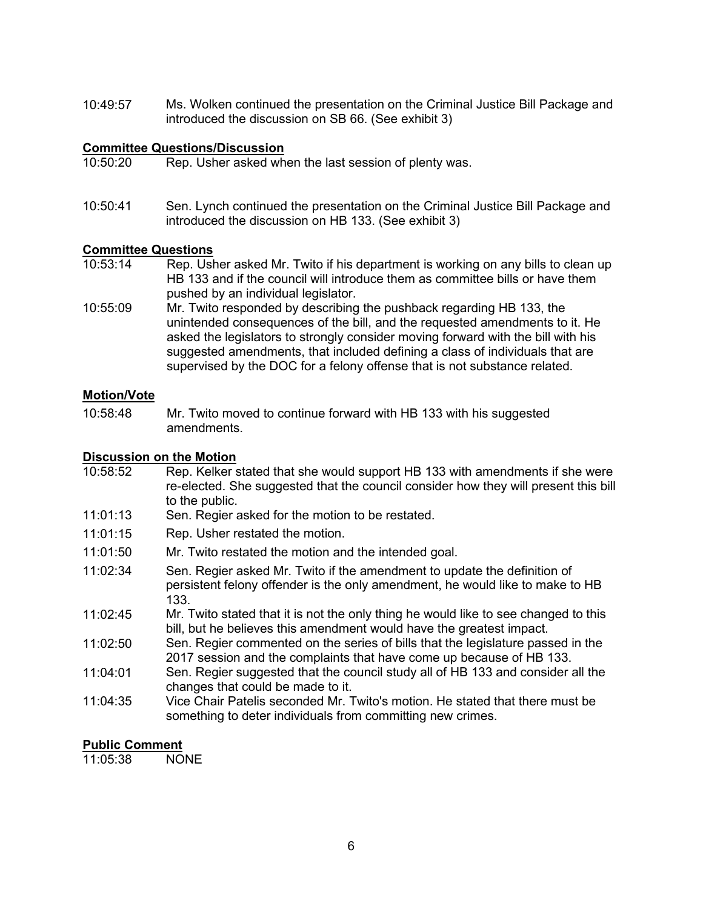10:49:57 Ms. Wolken continued the presentation on the Criminal Justice Bill Package and introduced the discussion on SB 66. (See exhibit 3)

## **Committee Questions/Discussion**<br>10:50:20 Rep. Usher asked wh

- Rep. Usher asked when the last session of plenty was.
- 10:50:41 Sen. Lynch continued the presentation on the Criminal Justice Bill Package and introduced the discussion on HB 133. (See exhibit 3)

### **Committee Questions**

- Rep. Usher asked Mr. Twito if his department is working on any bills to clean up HB 133 and if the council will introduce them as committee bills or have them pushed by an individual legislator.
- 10:55:09 Mr. Twito responded by describing the pushback regarding HB 133, the unintended consequences of the bill, and the requested amendments to it. He asked the legislators to strongly consider moving forward with the bill with his suggested amendments, that included defining a class of individuals that are supervised by the DOC for a felony offense that is not substance related.

#### **Motion/Vote**

10:58:48 Mr. Twito moved to continue forward with HB 133 with his suggested amendments.

### **Discussion on the Motion**

- 10:58:52 Rep. Kelker stated that she would support HB 133 with amendments if she were re-elected. She suggested that the council consider how they will present this bill to the public.
- 11:01:13 Sen. Regier asked for the motion to be restated.
- 11:01:15 Rep. Usher restated the motion.
- 11:01:50 Mr. Twito restated the motion and the intended goal.
- 11:02:34 Sen. Regier asked Mr. Twito if the amendment to update the definition of persistent felony offender is the only amendment, he would like to make to HB 133.
- 11:02:45 Mr. Twito stated that it is not the only thing he would like to see changed to this bill, but he believes this amendment would have the greatest impact.
- 11:02:50 Sen. Regier commented on the series of bills that the legislature passed in the 2017 session and the complaints that have come up because of HB 133.
- 11:04:01 Sen. Regier suggested that the council study all of HB 133 and consider all the changes that could be made to it.
- 11:04:35 Vice Chair Patelis seconded Mr. Twito's motion. He stated that there must be something to deter individuals from committing new crimes.

### **Public Comment**<br>11:05:38 NONF

 $11:05:38$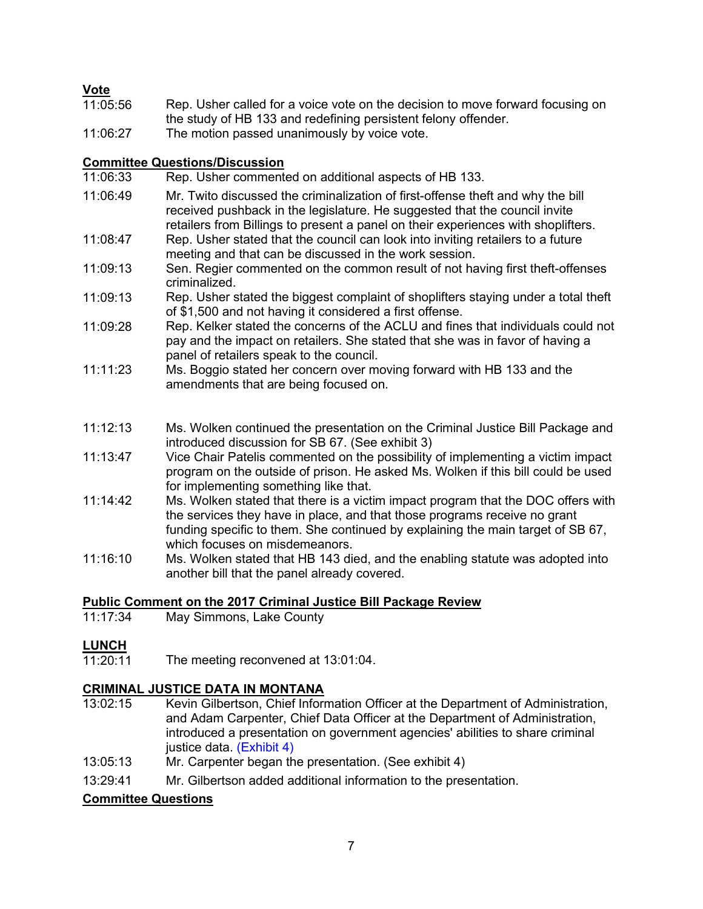### **Vote**

| 11:05:56 | Rep. Usher called for a voice vote on the decision to move forward focusing on |
|----------|--------------------------------------------------------------------------------|
|          | the study of HB 133 and redefining persistent felony offender.                 |
| 11:06:27 | The motion passed unanimously by voice vote.                                   |
|          |                                                                                |

### **Committee Questions/Discussion**

| 11:06:33 | Rep. Usher commented on additional aspects of HB 133.                                                                                                                                                                                                                              |
|----------|------------------------------------------------------------------------------------------------------------------------------------------------------------------------------------------------------------------------------------------------------------------------------------|
| 11:06:49 | Mr. Twito discussed the criminalization of first-offense theft and why the bill<br>received pushback in the legislature. He suggested that the council invite<br>retailers from Billings to present a panel on their experiences with shoplifters.                                 |
| 11:08:47 | Rep. Usher stated that the council can look into inviting retailers to a future<br>meeting and that can be discussed in the work session.                                                                                                                                          |
| 11:09:13 | Sen. Regier commented on the common result of not having first theft-offenses<br>criminalized.                                                                                                                                                                                     |
| 11:09:13 | Rep. Usher stated the biggest complaint of shoplifters staying under a total theft<br>of \$1,500 and not having it considered a first offense.                                                                                                                                     |
| 11:09:28 | Rep. Kelker stated the concerns of the ACLU and fines that individuals could not<br>pay and the impact on retailers. She stated that she was in favor of having a<br>panel of retailers speak to the council.                                                                      |
| 11:11:23 | Ms. Boggio stated her concern over moving forward with HB 133 and the<br>amendments that are being focused on.                                                                                                                                                                     |
| 11:12:13 | Ms. Wolken continued the presentation on the Criminal Justice Bill Package and<br>introduced discussion for SB 67. (See exhibit 3)                                                                                                                                                 |
| 11:13:47 | Vice Chair Patelis commented on the possibility of implementing a victim impact<br>program on the outside of prison. He asked Ms. Wolken if this bill could be used<br>for implementing something like that.                                                                       |
| 11:14:42 | Ms. Wolken stated that there is a victim impact program that the DOC offers with<br>the services they have in place, and that those programs receive no grant<br>funding specific to them. She continued by explaining the main target of SB 67,<br>which focuses on misdemeanors. |
| 11:16:10 | Ms. Wolken stated that HB 143 died, and the enabling statute was adopted into<br>another bill that the panel already covered.                                                                                                                                                      |

# **Public Comment on the 2017 Criminal Justice Bill Package Review**

May Simmons, Lake County

# **LUNCH**<br>11:20:11

The meeting reconvened at 13:01:04.

### **CRIMINAL JUSTICE DATA IN MONTANA**

- $13:02:15$ Kevin Gilbertson, Chief Information Officer at the Department of Administration, and Adam Carpenter, Chief Data Officer at the Department of Administration, introduced a presentation on government agencies' abilities to share criminal justice data. [\(Exhibit 4\)](https://leg.mt.gov/content/Committees/Interim/2021-2022/Criminal-Justice-Oversight-Council/Meetings/March_2022/cjoc-mar-23-2022-cio-slides.pdf)
- 13:05:13 Mr. Carpenter began the presentation. (See exhibit 4)
- 13:29:41 Mr. Gilbertson added additional information to the presentation.

### **Committee Questions**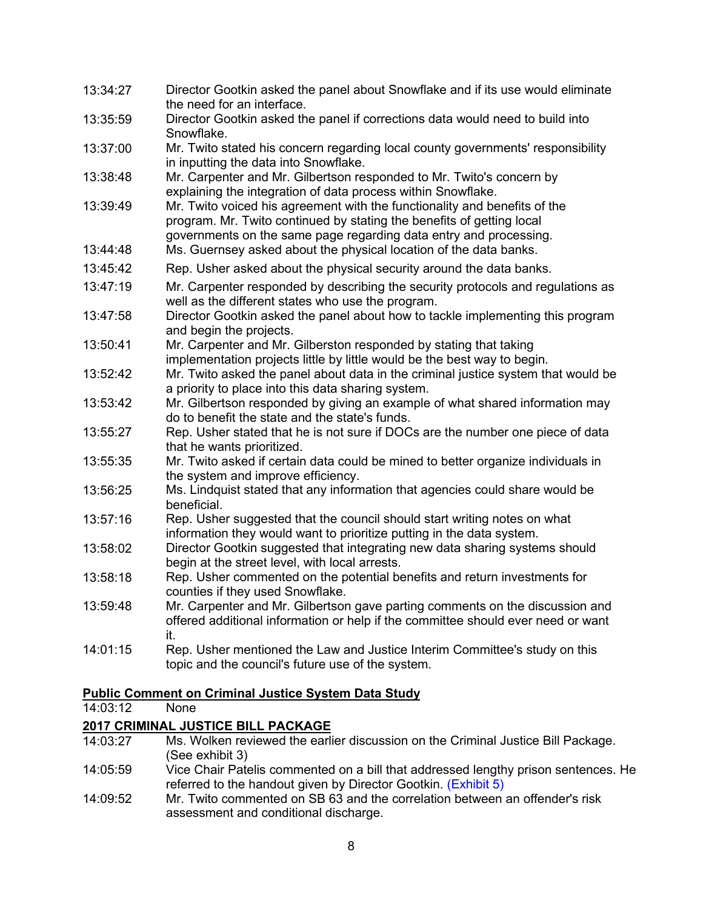| 13:34:27 | Director Gootkin asked the panel about Snowflake and if its use would eliminate<br>the need for an interface.                                                                                                           |
|----------|-------------------------------------------------------------------------------------------------------------------------------------------------------------------------------------------------------------------------|
| 13:35:59 | Director Gootkin asked the panel if corrections data would need to build into<br>Snowflake.                                                                                                                             |
| 13:37:00 | Mr. Twito stated his concern regarding local county governments' responsibility<br>in inputting the data into Snowflake.                                                                                                |
| 13:38:48 | Mr. Carpenter and Mr. Gilbertson responded to Mr. Twito's concern by<br>explaining the integration of data process within Snowflake.                                                                                    |
| 13:39:49 | Mr. Twito voiced his agreement with the functionality and benefits of the<br>program. Mr. Twito continued by stating the benefits of getting local<br>governments on the same page regarding data entry and processing. |
| 13:44:48 | Ms. Guernsey asked about the physical location of the data banks.                                                                                                                                                       |
| 13:45:42 | Rep. Usher asked about the physical security around the data banks.                                                                                                                                                     |
| 13:47:19 | Mr. Carpenter responded by describing the security protocols and regulations as<br>well as the different states who use the program.                                                                                    |
| 13:47:58 | Director Gootkin asked the panel about how to tackle implementing this program<br>and begin the projects.                                                                                                               |
| 13:50:41 | Mr. Carpenter and Mr. Gilberston responded by stating that taking<br>implementation projects little by little would be the best way to begin.                                                                           |
| 13:52:42 | Mr. Twito asked the panel about data in the criminal justice system that would be<br>a priority to place into this data sharing system.                                                                                 |
| 13:53:42 | Mr. Gilbertson responded by giving an example of what shared information may<br>do to benefit the state and the state's funds.                                                                                          |
| 13:55:27 | Rep. Usher stated that he is not sure if DOCs are the number one piece of data<br>that he wants prioritized.                                                                                                            |
| 13:55:35 | Mr. Twito asked if certain data could be mined to better organize individuals in<br>the system and improve efficiency.                                                                                                  |
| 13:56:25 | Ms. Lindquist stated that any information that agencies could share would be<br>beneficial.                                                                                                                             |
| 13:57:16 | Rep. Usher suggested that the council should start writing notes on what<br>information they would want to prioritize putting in the data system.                                                                       |
| 13:58:02 | Director Gootkin suggested that integrating new data sharing systems should<br>begin at the street level, with local arrests.                                                                                           |
| 13:58:18 | Rep. Usher commented on the potential benefits and return investments for<br>counties if they used Snowflake.                                                                                                           |
| 13:59:48 | Mr. Carpenter and Mr. Gilbertson gave parting comments on the discussion and<br>offered additional information or help if the committee should ever need or want<br>it.                                                 |
| 14:01:15 | Rep. Usher mentioned the Law and Justice Interim Committee's study on this<br>topic and the council's future use of the system.                                                                                         |

# **Public Comment on Criminal Justice System Data Study**

 $14:03:12$ 

### **2017 CRIMINAL JUSTICE BILL PACKAGE**

- 14:03:27 Ms. Wolken reviewed the earlier discussion on the Criminal Justice Bill Package. (See exhibit 3)
- 14:05:59 Vice Chair Patelis commented on a bill that addressed lengthy prison sentences. He referred to the handout given by Director Gootkin. [\(Exhibit 5\)](https://leg.mt.gov/content/Committees/Interim/2021-2022/Criminal-Justice-Oversight-Council/Meetings/March_2022/cjoc-mar-23-2022-probation-and-parole.pdf)
- 14:09:52 Mr. Twito commented on SB 63 and the correlation between an offender's risk assessment and conditional discharge.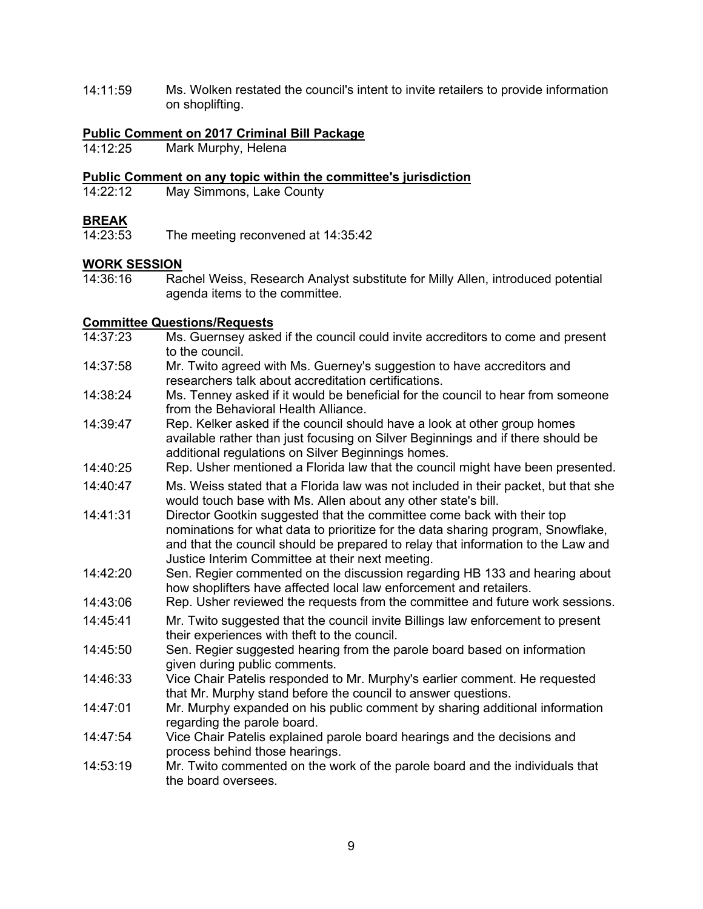14:11:59 Ms. Wolken restated the council's intent to invite retailers to provide information on shoplifting.

## **Public Comment on 2017 Criminal Bill Package**

Mark Murphy, Helena

#### **Public Comment on any topic within the committee's jurisdiction**

14:22:12 May Simmons, Lake County

**BREAK**<br>14:23:53 The meeting reconvened at 14:35:42

## **WORK SESSION**<br>14:36:16 Ray

Rachel Weiss, Research Analyst substitute for Milly Allen, introduced potential agenda items to the committee.

### **Committee Questions/Requests**

- 14:37:23 Ms. Guernsey asked if the council could invite accreditors to come and present to the council.
- 14:37:58 Mr. Twito agreed with Ms. Guerney's suggestion to have accreditors and researchers talk about accreditation certifications.
- 14:38:24 Ms. Tenney asked if it would be beneficial for the council to hear from someone from the Behavioral Health Alliance.
- 14:39:47 Rep. Kelker asked if the council should have a look at other group homes available rather than just focusing on Silver Beginnings and if there should be additional regulations on Silver Beginnings homes.
- 14:40:25 Rep. Usher mentioned a Florida law that the council might have been presented.
- 14:40:47 Ms. Weiss stated that a Florida law was not included in their packet, but that she would touch base with Ms. Allen about any other state's bill.
- 14:41:31 Director Gootkin suggested that the committee come back with their top nominations for what data to prioritize for the data sharing program, Snowflake, and that the council should be prepared to relay that information to the Law and Justice Interim Committee at their next meeting.
- 14:42:20 Sen. Regier commented on the discussion regarding HB 133 and hearing about how shoplifters have affected local law enforcement and retailers.
- 14:43:06 Rep. Usher reviewed the requests from the committee and future work sessions.
- 14:45:41 Mr. Twito suggested that the council invite Billings law enforcement to present their experiences with theft to the council.
- 14:45:50 Sen. Regier suggested hearing from the parole board based on information given during public comments.
- 14:46:33 Vice Chair Patelis responded to Mr. Murphy's earlier comment. He requested that Mr. Murphy stand before the council to answer questions.
- 14:47:01 Mr. Murphy expanded on his public comment by sharing additional information regarding the parole board.
- 14:47:54 Vice Chair Patelis explained parole board hearings and the decisions and process behind those hearings.
- 14:53:19 Mr. Twito commented on the work of the parole board and the individuals that the board oversees.